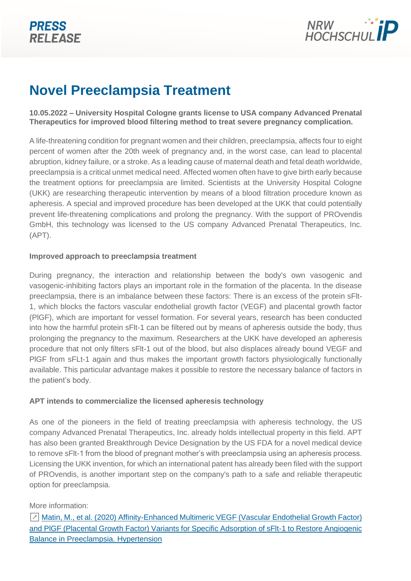

# **Novel Preeclampsia Treatment**

**10.05.2022 – University Hospital Cologne grants license to USA company Advanced Prenatal Therapeutics for improved blood filtering method to treat severe pregnancy complication.**

A life-threatening condition for pregnant women and their children, preeclampsia, affects four to eight percent of women after the 20th week of pregnancy and, in the worst case, can lead to placental abruption, kidney failure, or a stroke. As a leading cause of maternal death and fetal death worldwide, preeclampsia is a critical unmet medical need. Affected women often have to give birth early because the treatment options for preeclampsia are limited. Scientists at the University Hospital Cologne (UKK) are researching therapeutic intervention by means of a blood filtration procedure known as apheresis. A special and improved procedure has been developed at the UKK that could potentially prevent life-threatening complications and prolong the pregnancy. With the support of PROvendis GmbH, this technology was licensed to the US company Advanced Prenatal Therapeutics, Inc. (APT).

## **Improved approach to preeclampsia treatment**

During pregnancy, the interaction and relationship between the body's own vasogenic and vasogenic-inhibiting factors plays an important role in the formation of the placenta. In the disease preeclampsia, there is an imbalance between these factors: There is an excess of the protein sFlt-1, which blocks the factors vascular endothelial growth factor (VEGF) and placental growth factor (PlGF), which are important for vessel formation. For several years, research has been conducted into how the harmful protein sFlt-1 can be filtered out by means of apheresis outside the body, thus prolonging the pregnancy to the maximum. Researchers at the UKK have developed an apheresis procedure that not only filters sFlt-1 out of the blood, but also displaces already bound VEGF and PlGF from sFLt-1 again and thus makes the important growth factors physiologically functionally available. This particular advantage makes it possible to restore the necessary balance of factors in the patient's body.

## **APT intends to commercialize the licensed apheresis technology**

As one of the pioneers in the field of treating preeclampsia with apheresis technology, the US company Advanced Prenatal Therapeutics, Inc. already holds intellectual property in this field. APT has also been granted Breakthrough Device Designation by the US FDA for a novel medical device to remove sFlt-1 from the blood of pregnant mother's with preeclampsia using an apheresis process. Licensing the UKK invention, for which an international patent has already been filed with the support of PROvendis, is another important step on the company's path to a safe and reliable therapeutic option for preeclampsia.

# More information:

↗ [Matin, M., et al. \(2020\) Affinity-Enhanced Multimeric VEGF \(Vascular Endothelial Growth Factor\)](https://www.ahajournals.org/doi/full/10.1161/HYPERTENSIONAHA.120.14974)  [and PlGF \(Placental Growth Factor\) Variants for Specific Adsorption of sFlt-1 to Restore Angiogenic](https://www.ahajournals.org/doi/full/10.1161/HYPERTENSIONAHA.120.14974)  [Balance in Preeclampsia. Hypertension](https://www.ahajournals.org/doi/full/10.1161/HYPERTENSIONAHA.120.14974)